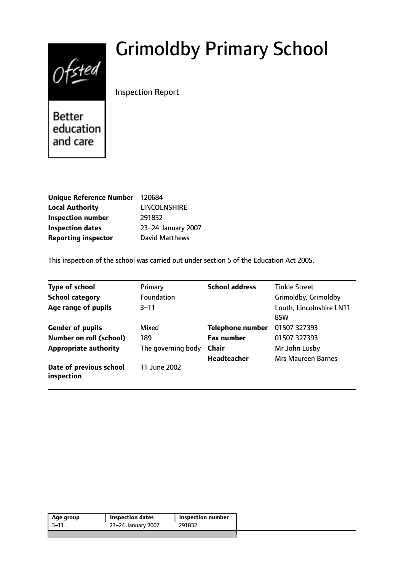# Grimoldby Primary School



Inspection Report

**Better** education and care

| Unique Reference Number 120684 |                       |
|--------------------------------|-----------------------|
| <b>Local Authority</b>         | <b>LINCOLNSHIRE</b>   |
| <b>Inspection number</b>       | 291832                |
| <b>Inspection dates</b>        | 23-24 January 2007    |
| <b>Reporting inspector</b>     | <b>David Matthews</b> |

This inspection of the school was carried out under section 5 of the Education Act 2005.

| <b>Type of school</b>                 | Primary            | <b>School address</b>   | <b>Tinkle Street</b>            |
|---------------------------------------|--------------------|-------------------------|---------------------------------|
| <b>School category</b>                | <b>Foundation</b>  |                         | Grimoldby, Grimoldby            |
| Age range of pupils                   | $3 - 11$           |                         | Louth, Lincolnshire LN11<br>8SW |
| <b>Gender of pupils</b>               | Mixed              | <b>Telephone number</b> | 01507 327393                    |
| <b>Number on roll (school)</b>        | 189                | <b>Fax number</b>       | 01507 327393                    |
| <b>Appropriate authority</b>          | The governing body | <b>Chair</b>            | Mr John Lusby                   |
|                                       |                    | <b>Headteacher</b>      | <b>Mrs Maureen Barnes</b>       |
| Date of previous school<br>inspection | 11 June 2002       |                         |                                 |

| Age group | <b>Inspection dates</b> | Inspection number |  |
|-----------|-------------------------|-------------------|--|
| $3 - 11$  | 23-24 January 2007      | 291832            |  |
|           |                         |                   |  |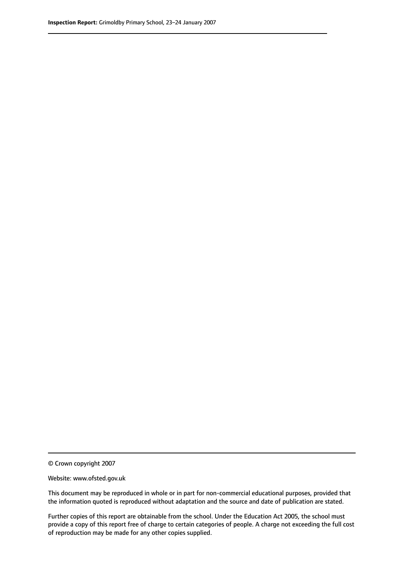© Crown copyright 2007

Website: www.ofsted.gov.uk

This document may be reproduced in whole or in part for non-commercial educational purposes, provided that the information quoted is reproduced without adaptation and the source and date of publication are stated.

Further copies of this report are obtainable from the school. Under the Education Act 2005, the school must provide a copy of this report free of charge to certain categories of people. A charge not exceeding the full cost of reproduction may be made for any other copies supplied.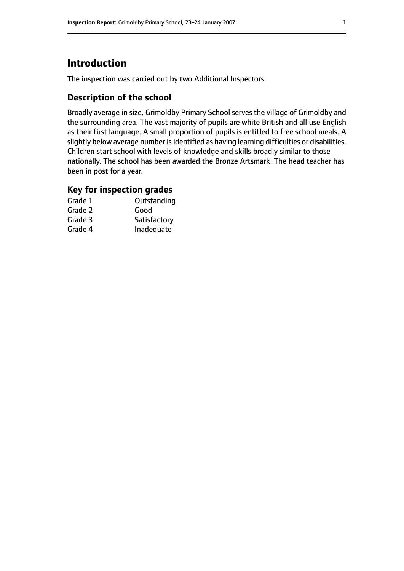# **Introduction**

The inspection was carried out by two Additional Inspectors.

# **Description of the school**

Broadly average in size, Grimoldby Primary School serves the village of Grimoldby and the surrounding area. The vast majority of pupils are white British and all use English as their first language. A small proportion of pupils is entitled to free school meals. A slightly below average number is identified as having learning difficulties or disabilities. Children start school with levels of knowledge and skills broadly similar to those nationally. The school has been awarded the Bronze Artsmark. The head teacher has been in post for a year.

## **Key for inspection grades**

| Grade 1 | Outstanding  |
|---------|--------------|
| Grade 2 | Good         |
| Grade 3 | Satisfactory |
| Grade 4 | Inadequate   |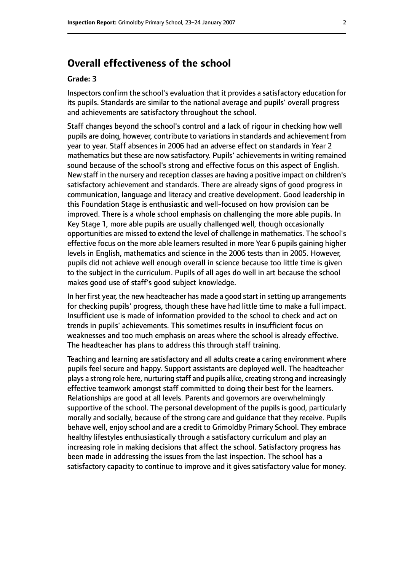# **Overall effectiveness of the school**

#### **Grade: 3**

Inspectors confirm the school's evaluation that it provides a satisfactory education for its pupils. Standards are similar to the national average and pupils' overall progress and achievements are satisfactory throughout the school.

Staff changes beyond the school's control and a lack of rigour in checking how well pupils are doing, however, contribute to variations in standards and achievement from year to year. Staff absences in 2006 had an adverse effect on standards in Year 2 mathematics but these are now satisfactory. Pupils' achievements in writing remained sound because of the school's strong and effective focus on this aspect of English. New staff in the nursery and reception classes are having a positive impact on children's satisfactory achievement and standards. There are already signs of good progress in communication, language and literacy and creative development. Good leadership in this Foundation Stage is enthusiastic and well-focused on how provision can be improved. There is a whole school emphasis on challenging the more able pupils. In Key Stage 1, more able pupils are usually challenged well, though occasionally opportunities are missed to extend the level of challenge in mathematics. The school's effective focus on the more able learners resulted in more Year 6 pupils gaining higher levels in English, mathematics and science in the 2006 tests than in 2005. However, pupils did not achieve well enough overall in science because too little time is given to the subject in the curriculum. Pupils of all ages do well in art because the school makes good use of staff's good subject knowledge.

In her first year, the new headteacher has made a good start in setting up arrangements for checking pupils' progress, though these have had little time to make a full impact. Insufficient use is made of information provided to the school to check and act on trends in pupils' achievements. This sometimes results in insufficient focus on weaknesses and too much emphasis on areas where the school is already effective. The headteacher has plans to address this through staff training.

Teaching and learning are satisfactory and all adults create a caring environment where pupils feel secure and happy. Support assistants are deployed well. The headteacher plays a strong role here, nurturing staff and pupils alike, creating strong and increasingly effective teamwork amongst staff committed to doing their best for the learners. Relationships are good at all levels. Parents and governors are overwhelmingly supportive of the school. The personal development of the pupils is good, particularly morally and socially, because of the strong care and guidance that they receive. Pupils behave well, enjoy school and are a credit to Grimoldby Primary School. They embrace healthy lifestyles enthusiastically through a satisfactory curriculum and play an increasing role in making decisions that affect the school. Satisfactory progress has been made in addressing the issues from the last inspection. The school has a satisfactory capacity to continue to improve and it gives satisfactory value for money.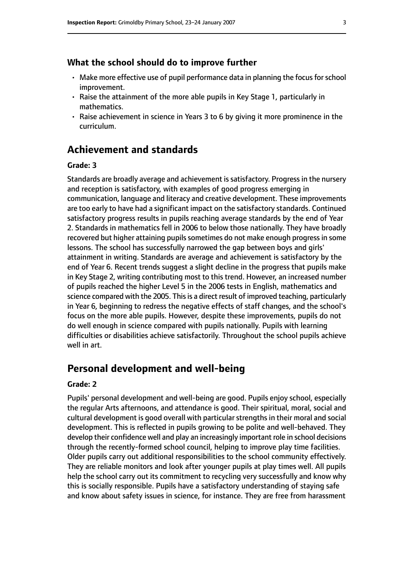#### **What the school should do to improve further**

- $\cdot$  Make more effective use of pupil performance data in planning the focus for school improvement.
- Raise the attainment of the more able pupils in Key Stage 1, particularly in mathematics.
- Raise achievement in science in Years 3 to 6 by giving it more prominence in the curriculum.

# **Achievement and standards**

#### **Grade: 3**

Standards are broadly average and achievement is satisfactory. Progress in the nursery and reception is satisfactory, with examples of good progress emerging in communication, language and literacy and creative development. These improvements are too early to have had a significant impact on the satisfactory standards. Continued satisfactory progress results in pupils reaching average standards by the end of Year 2. Standards in mathematics fell in 2006 to below those nationally. They have broadly recovered but higher attaining pupils sometimes do not make enough progress in some lessons. The school has successfully narrowed the gap between boys and girls' attainment in writing. Standards are average and achievement is satisfactory by the end of Year 6. Recent trends suggest a slight decline in the progress that pupils make in Key Stage 2, writing contributing most to this trend. However, an increased number of pupils reached the higher Level 5 in the 2006 tests in English, mathematics and science compared with the 2005. This is a direct result of improved teaching, particularly in Year 6, beginning to redress the negative effects of staff changes, and the school's focus on the more able pupils. However, despite these improvements, pupils do not do well enough in science compared with pupils nationally. Pupils with learning difficulties or disabilities achieve satisfactorily. Throughout the school pupils achieve well in art.

# **Personal development and well-being**

#### **Grade: 2**

Pupils' personal development and well-being are good. Pupils enjoy school, especially the regular Arts afternoons, and attendance is good. Their spiritual, moral, social and cultural development is good overall with particular strengths in their moral and social development. This is reflected in pupils growing to be polite and well-behaved. They develop their confidence well and play an increasingly important role in school decisions through the recently-formed school council, helping to improve play time facilities. Older pupils carry out additional responsibilities to the school community effectively. They are reliable monitors and look after younger pupils at play times well. All pupils help the school carry out its commitment to recycling very successfully and know why this is socially responsible. Pupils have a satisfactory understanding of staying safe and know about safety issues in science, for instance. They are free from harassment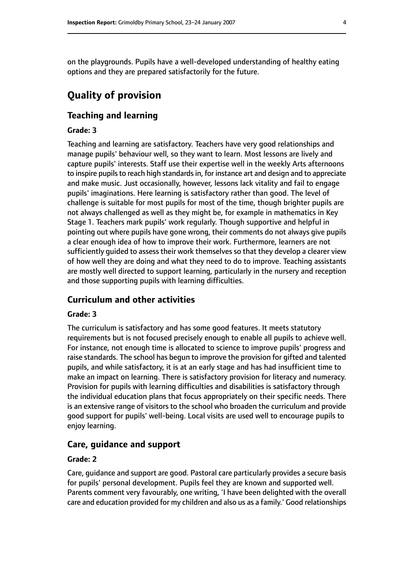on the playgrounds. Pupils have a well-developed understanding of healthy eating options and they are prepared satisfactorily for the future.

# **Quality of provision**

## **Teaching and learning**

#### **Grade: 3**

Teaching and learning are satisfactory. Teachers have very good relationships and manage pupils' behaviour well, so they want to learn. Most lessons are lively and capture pupils' interests. Staff use their expertise well in the weekly Arts afternoons to inspire pupils to reach high standards in, for instance art and design and to appreciate and make music. Just occasionally, however, lessons lack vitality and fail to engage pupils' imaginations. Here learning is satisfactory rather than good. The level of challenge is suitable for most pupils for most of the time, though brighter pupils are not always challenged as well as they might be, for example in mathematics in Key Stage 1. Teachers mark pupils' work regularly. Though supportive and helpful in pointing out where pupils have gone wrong, their comments do not always give pupils a clear enough idea of how to improve their work. Furthermore, learners are not sufficiently guided to assess their work themselves so that they develop a clearer view of how well they are doing and what they need to do to improve. Teaching assistants are mostly well directed to support learning, particularly in the nursery and reception and those supporting pupils with learning difficulties.

#### **Curriculum and other activities**

#### **Grade: 3**

The curriculum is satisfactory and has some good features. It meets statutory requirements but is not focused precisely enough to enable all pupils to achieve well. For instance, not enough time is allocated to science to improve pupils' progress and raise standards. The school has begun to improve the provision for gifted and talented pupils, and while satisfactory, it is at an early stage and has had insufficient time to make an impact on learning. There is satisfactory provision for literacy and numeracy. Provision for pupils with learning difficulties and disabilities is satisfactory through the individual education plans that focus appropriately on their specific needs. There is an extensive range of visitors to the school who broaden the curriculum and provide good support for pupils' well-being. Local visits are used well to encourage pupils to enjoy learning.

#### **Care, guidance and support**

#### **Grade: 2**

Care, guidance and support are good. Pastoral care particularly provides a secure basis for pupils' personal development. Pupils feel they are known and supported well. Parents comment very favourably, one writing, 'I have been delighted with the overall care and education provided for my children and also us as a family.' Good relationships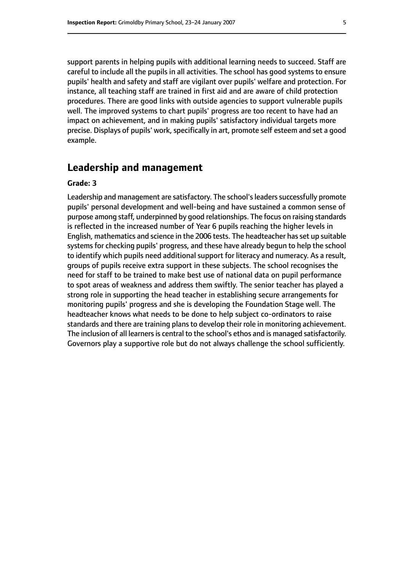support parents in helping pupils with additional learning needs to succeed. Staff are careful to include all the pupils in all activities. The school has good systems to ensure pupils' health and safety and staff are vigilant over pupils' welfare and protection. For instance, all teaching staff are trained in first aid and are aware of child protection procedures. There are good links with outside agencies to support vulnerable pupils well. The improved systems to chart pupils' progress are too recent to have had an impact on achievement, and in making pupils' satisfactory individual targets more precise. Displays of pupils' work, specifically in art, promote self esteem and set a good example.

### **Leadership and management**

#### **Grade: 3**

Leadership and management are satisfactory. The school's leaders successfully promote pupils' personal development and well-being and have sustained a common sense of purpose among staff, underpinned by good relationships. The focus on raising standards is reflected in the increased number of Year 6 pupils reaching the higher levels in English, mathematics and science in the 2006 tests. The headteacher hasset up suitable systems for checking pupils' progress, and these have already begun to help the school to identify which pupils need additional support for literacy and numeracy. As a result, groups of pupils receive extra support in these subjects. The school recognises the need for staff to be trained to make best use of national data on pupil performance to spot areas of weakness and address them swiftly. The senior teacher has played a strong role in supporting the head teacher in establishing secure arrangements for monitoring pupils' progress and she is developing the Foundation Stage well. The headteacher knows what needs to be done to help subject co-ordinators to raise standards and there are training plans to develop their role in monitoring achievement. The inclusion of all learners is central to the school's ethos and is managed satisfactorily. Governors play a supportive role but do not always challenge the school sufficiently.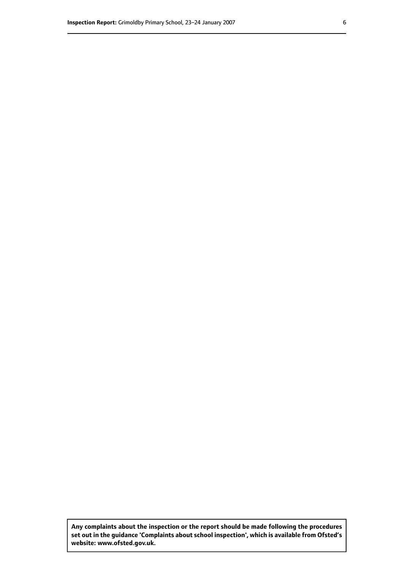**Any complaints about the inspection or the report should be made following the procedures set out inthe guidance 'Complaints about school inspection', whichis available from Ofsted's website: www.ofsted.gov.uk.**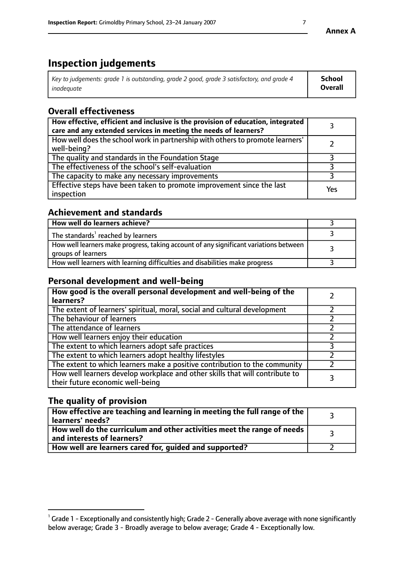# **Inspection judgements**

| Key to judgements: grade 1 is outstanding, grade 2 good, grade 3 satisfactory, and grade 4 | School         |
|--------------------------------------------------------------------------------------------|----------------|
| inadeauate                                                                                 | <b>Overall</b> |

# **Overall effectiveness**

| How effective, efficient and inclusive is the provision of education, integrated<br>care and any extended services in meeting the needs of learners? |     |
|------------------------------------------------------------------------------------------------------------------------------------------------------|-----|
| How well does the school work in partnership with others to promote learners'<br>well-being?                                                         |     |
| The quality and standards in the Foundation Stage                                                                                                    |     |
| The effectiveness of the school's self-evaluation                                                                                                    |     |
| The capacity to make any necessary improvements                                                                                                      |     |
| Effective steps have been taken to promote improvement since the last<br>inspection                                                                  | Yes |

## **Achievement and standards**

| How well do learners achieve?                                                                               |  |
|-------------------------------------------------------------------------------------------------------------|--|
| The standards <sup>1</sup> reached by learners                                                              |  |
| How well learners make progress, taking account of any significant variations between<br>groups of learners |  |
| How well learners with learning difficulties and disabilities make progress                                 |  |

# **Personal development and well-being**

| How good is the overall personal development and well-being of the<br>learners?                                  |  |
|------------------------------------------------------------------------------------------------------------------|--|
| The extent of learners' spiritual, moral, social and cultural development                                        |  |
| The behaviour of learners                                                                                        |  |
| The attendance of learners                                                                                       |  |
| How well learners enjoy their education                                                                          |  |
| The extent to which learners adopt safe practices                                                                |  |
| The extent to which learners adopt healthy lifestyles                                                            |  |
| The extent to which learners make a positive contribution to the community                                       |  |
| How well learners develop workplace and other skills that will contribute to<br>their future economic well-being |  |

# **The quality of provision**

| $\Box$ How effective are teaching and learning in meeting the full range of the $\Box$<br>  learners' needs?        |  |
|---------------------------------------------------------------------------------------------------------------------|--|
| $\mid$ How well do the curriculum and other activities meet the range of needs<br>$\mid$ and interests of learners? |  |
| How well are learners cared for, guided and supported?                                                              |  |

 $^1$  Grade 1 - Exceptionally and consistently high; Grade 2 - Generally above average with none significantly below average; Grade 3 - Broadly average to below average; Grade 4 - Exceptionally low.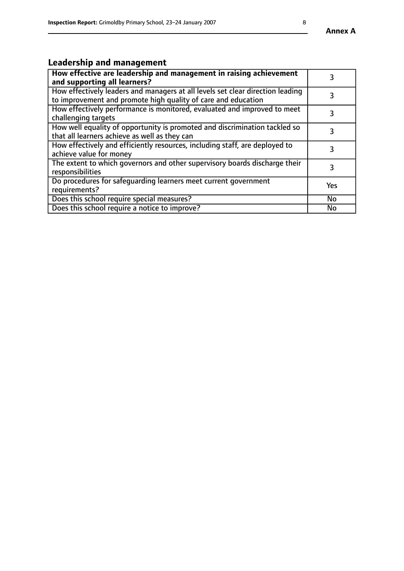#### **Annex A**

# **Leadership and management**

| How effective are leadership and management in raising achievement<br>and supporting all learners?                                              |           |
|-------------------------------------------------------------------------------------------------------------------------------------------------|-----------|
| How effectively leaders and managers at all levels set clear direction leading<br>to improvement and promote high quality of care and education |           |
| How effectively performance is monitored, evaluated and improved to meet<br>challenging targets                                                 | 3         |
| How well equality of opportunity is promoted and discrimination tackled so<br>that all learners achieve as well as they can                     |           |
| How effectively and efficiently resources, including staff, are deployed to<br>achieve value for money                                          | 3         |
| The extent to which governors and other supervisory boards discharge their<br>responsibilities                                                  | 3         |
| Do procedures for safequarding learners meet current government<br>requirements?                                                                | Yes       |
| Does this school require special measures?                                                                                                      | <b>No</b> |
| Does this school require a notice to improve?                                                                                                   | No        |